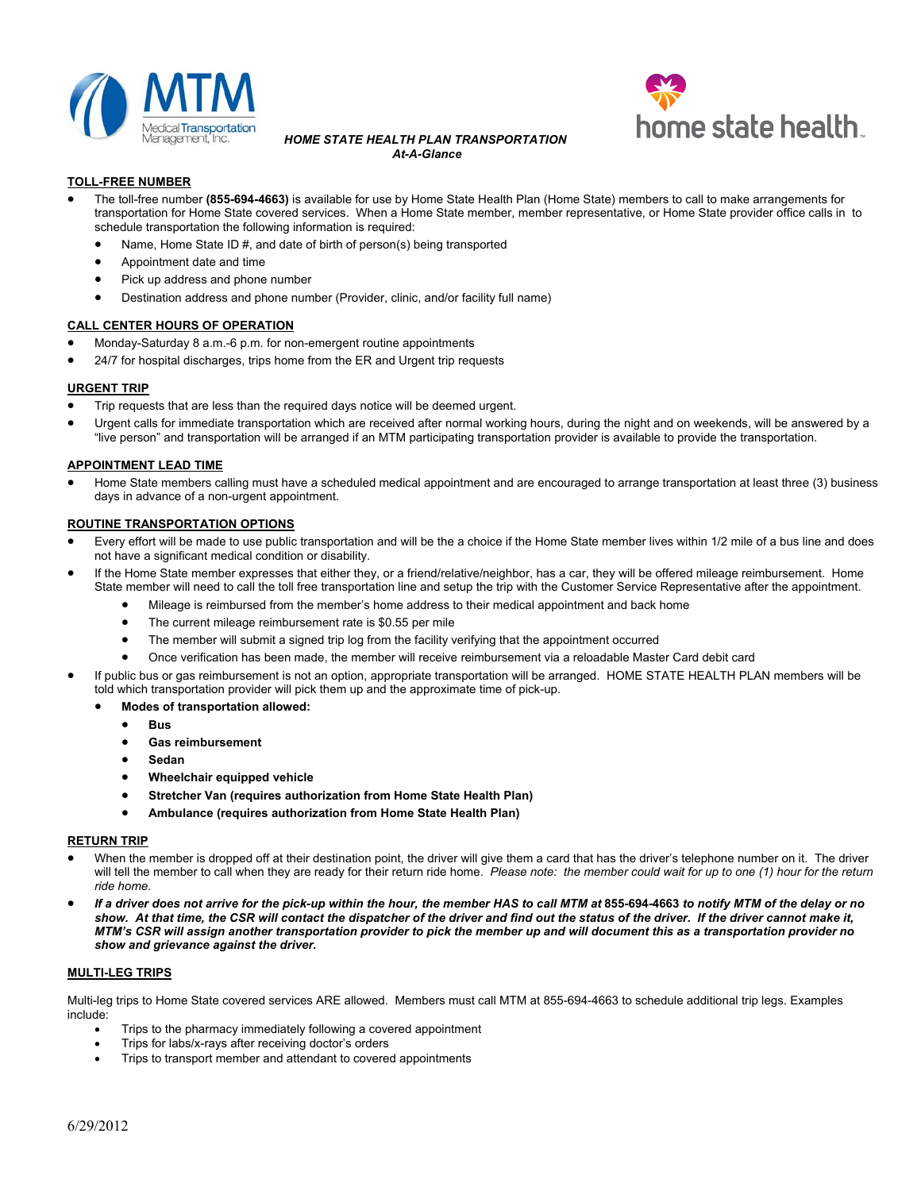

#### *HOME STATE HEALTH PLAN TRANSPORTATION At-A-Glance*



# **TOLL-FREE NUMBER**

- The toll-free number **(855-694-4663)** is available for use by Home State Health Plan (Home State) members to call to make arrangements for transportation for Home State covered services. When a Home State member, member representative, or Home State provider office calls in to schedule transportation the following information is required:
	- Name, Home State ID #, and date of birth of person(s) being transported
	- Appointment date and time
	- Pick up address and phone number
	- Destination address and phone number (Provider, clinic, and/or facility full name)

### **CALL CENTER HOURS OF OPERATION**

- Monday-Saturday 8 a.m.-6 p.m. for non-emergent routine appointments
- 24/7 for hospital discharges, trips home from the ER and Urgent trip requests

# **URGENT TRIP**

- **•** Trip requests that are less than the required days notice will be deemed urgent.
- Urgent calls for immediate transportation which are received after normal working hours, during the night and on weekends, will be answered by a "live person" and transportation will be arranged if an MTM participating transportation provider is available to provide the transportation.

# **APPOINTMENT LEAD TIME**

 Home State members calling must have a scheduled medical appointment and are encouraged to arrange transportation at least three (3) business days in advance of a non-urgent appointment.

### **ROUTINE TRANSPORTATION OPTIONS**

- Every effort will be made to use public transportation and will be the a choice if the Home State member lives within 1/2 mile of a bus line and does not have a significant medical condition or disability.
- If the Home State member expresses that either they, or a friend/relative/neighbor, has a car, they will be offered mileage reimbursement. Home State member will need to call the toll free transportation line and setup the trip with the Customer Service Representative after the appointment.
	- Mileage is reimbursed from the member's home address to their medical appointment and back home
	- The current mileage reimbursement rate is \$0.55 per mile
	- The member will submit a signed trip log from the facility verifying that the appointment occurred
	- Once verification has been made, the member will receive reimbursement via a reloadable Master Card debit card
- If public bus or gas reimbursement is not an option, appropriate transportation will be arranged. HOME STATE HEALTH PLAN members will be told which transportation provider will pick them up and the approximate time of pick-up.
	- **Modes of transportation allowed:**
		- **e** Bus
		- **Gas reimbursement**
		- **Sedan**
		- **Wheelchair equipped vehicle**
		- **Stretcher Van (requires authorization from Home State Health Plan)**
		- **Ambulance (requires authorization from Home State Health Plan)**

### **RETURN TRIP**

- When the member is dropped off at their destination point, the driver will give them a card that has the driver's telephone number on it. The driver will tell the member to call when they are ready for their return ride home. *Please note: the member could wait for up to one (1) hour for the return ride home.*
- **•** If a driver does not arrive for the pick-up within the hour, the member HAS to call MTM at 855-694-4663 to notify MTM of the delay or no *show. At that time, the CSR will contact the dispatcher of the driver and find out the status of the driver. If the driver cannot make it, MTM's CSR will assign another transportation provider to pick the member up and will document this as a transportation provider no show and grievance against the driver.*

### **MULTI-LEG TRIPS**

Multi-leg trips to Home State covered services ARE allowed. Members must call MTM at 855-694-4663 to schedule additional trip legs. Examples include:

- Trips to the pharmacy immediately following a covered appointment
- Trips for labs/x-rays after receiving doctor's orders
- Trips to transport member and attendant to covered appointments